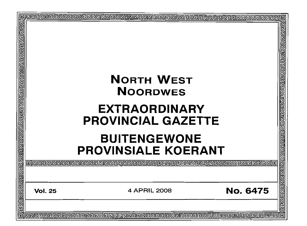| रा बांस का बांस के बांस के बांस के बांस के बांस के बांस के बांस के बांस के बांस के बांस के बांस का बांस का बां | <b>NORTH WEST</b><br><b>NOORDWES</b>                                                             | 고<br>그<br>그<br>그       |
|----------------------------------------------------------------------------------------------------------------|--------------------------------------------------------------------------------------------------|------------------------|
|                                                                                                                |                                                                                                  |                        |
|                                                                                                                | <b>EXTRAORDINARY</b>                                                                             |                        |
|                                                                                                                | <b>PROVINCIAL GAZETTE</b>                                                                        | 린덴린린                   |
|                                                                                                                |                                                                                                  |                        |
|                                                                                                                | <b>BUITENGEWONE</b><br><b>PROVINSIALE KOERANT</b>                                                |                        |
|                                                                                                                | @@@@@@@@@@@@@@@@@@@@@@@@@@@@@@@@@@@<br>alaaara                                                   |                        |
|                                                                                                                |                                                                                                  | <u>गगगगगगगगगगगगगगग</u> |
|                                                                                                                | <b>No. 6475</b><br>4 APRIL 2008<br><b>Vol. 25</b>                                                |                        |
|                                                                                                                |                                                                                                  |                        |
|                                                                                                                | <u>lele elecele elecele elecele de le cale de le decele de le cale de le de le cale de le de</u> | 同                      |
|                                                                                                                |                                                                                                  |                        |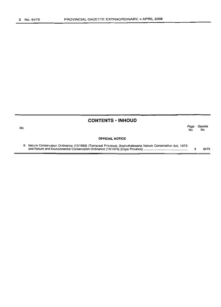No.

# **CONTENTS • INHOUD**

*Page Gazette* No. No.

#### **OFFICIAL NOTICE**

6 Nature Conservation Ordinance (12/1983) (Transvaal Province), Bophuthatswana Nature Conservation Act, 1973 and Nature and Environmental Conservation Ordinance (19/1974) (Cape Province) . 3 6475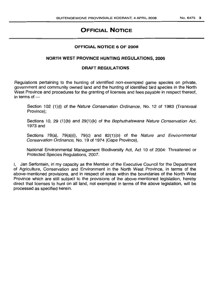# **OFFICIAL NOTICE**

# **OFFICIAL NOTICE 6 OF 2008**

# **NORTH WEST PROVINCE HUNTING REGULATIONS, 2006**

#### **DRAFT REGULATIONS**

Regulations pertaining to the hunting of identified non-exempted game species on private, government and community owned land and the hunting of identified bird species in the North West Province and procedures for the granting of licenses and fees payable in respect thereof, in terms of $-$ 

Section 102 (1)(i) of the Nature Conservation Ordinance, No. 12 of 1983 (Transvaal Province);

Sections 10, 29 (1)(b) and 29(1)(k) of the *Bophuthatswana Nature Conservation Act*, 1973 and

Sections 78(a), 79(a)(i), 79(c) and 82(1)(o) of the Nature and Environmental Conservation Ordinance, No. 19 of 1974 (Cape Province),

National Environmental Management Biodiversity Act, Act 10 of 2004: Threatened or Protected Species Regulations, 2007.

I, Jan Serfontein, in my capacity as the Member of the Executive Council for the Department of Agriculture, Conservation and Environment in the North West Province, in terms of the above-mentioned provisions, and in respect of areas within the boundaries of the North West Province which are still subject to the provisions of the above-mentioned legislation, hereby direct that licenses to hunt on all land, not exempted in terms of the above legislation, will be processed as specified herein.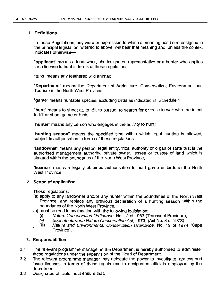#### 1. Definitions

In these Regulations, any word or expression to which a meaning has been assigned in the principal legislation referred to above, will bear that meaning and, unless the context indicates otherwise-

"applicant" means a landowner, his designated representative or a hunter who applies for a license to hunt in terms of these regulations;

"bird" means any feathered wild animal;

"Department" means the Department of Agriculture, Conservation, Environment and Tourism in the North West Province;

"game" means huntable species, excluding birds as indicated in Schedule 1;

"hunt" means to shoot at, to kill, to pursue, to search for or to lie in wait with the intent to kill or shoot game or birds;

"hunter" means any person who engages in the activity to hunt;

"hunting season" means the specified time within which legal hunting is allowed, subject to authorisation in terms of these regulations;

"landowner" means any person, legal entity, tribal authority or organ of state that is the authorised management authority, private owner, lessee or trustee of land which is situated within the boundaries of the North West Province;

"license" means a legally obtained authorisation to hunt game or birds in the North West Province;

#### 2. Scope of application

These regulations:

- (a) apply to any landowner and/or any hunter within the boundaries of the North West Province, and replace any previous declaration of a hunting season within the boundaries of the North West Province.
- (b) must be read in conjunction with the following legislation:
	- (i) Nature Conservation Ordinance, No. 12 of 1983 (Transvaal Province);
	- (ii) Bophuthatswana Nature Conservation Act, 1973, (Act No. 3 of 1973);
	- (iii) Nature and Environmental Conservation Ordinance, No. 19 of 1974 (Cape Province).

#### 3. Responsibilities

- 3.1 The relevant programme manager in the Department is hereby authorised to administer these regulations under the supervision of the Head of Department.
- 3.2 The relevant programme manager may delegate the power to investigate, assess and issue licenses in terms of these regulations to designated officials employed by the department.
- 3.3 Designated officials must ensure that: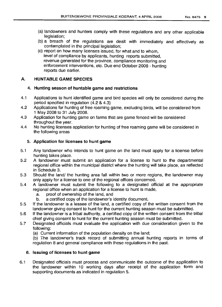- (a) landowners and hunters comply with these regulations and any other applicable legislation;
- (b) a breach of the regulations are dealt with immediately and effectively as contemplated in the principal legislation;
- (c) report on how many licenses issued, for what and to whom, level of compliance by applicants, hunting reports submitted, revenue generated for the province, compliance monitoring and enforcement interventions, etc. Due end October 2008 - hunting reports due earlier.

# **A. HUNTABLE GAME SPECIES**

# 4. **Hunting season of huntable game and restrictions**

- 4.1 Applications to hunt identified game and bird species will only be considered during the period specified in regulation (4.2 & 4.3)
- 4.2 Applications for hunting of free roaming game, excluding birds, will be considered from 1 May 2008 to 31 July 2008.
- 4.3 Application for hunting game on farms that are game fenced will be considered throughout the year.
- 4.4 No hunting licenses application for hunting of free roaming game will be considered in the following areas

# 5. **Application for licenses to hunt game**

- 5.1 Any landowner who intends to hunt game on the land must apply for a license before hunting takes place. .
- 5.2 A landowner must submit an application for a license to hunt to the departmental regional office within the municipal district where the hunting will take place, as reflected in Schedule 3.
- 5.3 Should the land/ the hunting area fall within two or more regions, the landowner may only apply for a license to one of the regional offices concerned.
- 5.4 A landowner must submit the following to a designated official at the appropriate regional office when an application for a license to hunt is made,
	- a. proof of ownership of the land, and
	- b. a certified copy of the landowner's identity document.
- 5.5 If the landowner is a lessee of the land, a certified copy of the written consent from the landowner giving consent to hunt for the current hunting season must be submitted.
- 5.6 If the landowner is a tribal authority, a certified copy of the written consent from the tribal chief giving consent to hunt for the current hunting season must be submitted.
- 5.7 Designated officials must evaluate the application with due consideration given to the following:
	- (a) Current information of the population density on the land;

(b) The landowner's track record of submitting annual hunting reports in terms of regulation 8 and general compliance with these regulations in the past.

# 6. **Issuing of licenses to hunt game**

6.1 Designated officials must process and communicate the outcome of the application to the landowner within 10 working days after receipt of the application form and supporting documents as indicated in regulation 5.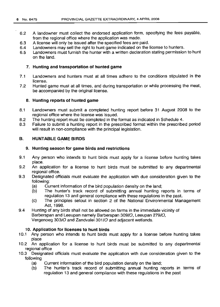- 6.2 A landowner must collect the endorsed application form, specifying the fees payable, from the regional office where the application was made.
- 6.3 A license will only be issued after the specified fees are paid.
- 6.4 Landowners may sell the right to hunt game indicated on the license to hunters.
- 6.5 Landowners must furnish the hunter with a written declaration stating permission to hunt on the land.

# 7. Hunting and transportation of hunted game

- 7.1 Landowners and hunters must at all times adhere to the conditions stipulated in the license.
- 7.2 Hunted game must at all times, and during transportation or while processing the meat, be accompanied by the original license.

# 8. Hunting reports of hunted game

- Landowners must submit a completed hunting report before 31 August 2008 to the regional office where the license was issued. 8.1
- The hunting report must be completed in the format as indicated in Schedule 4. 8.2
- Failure to submit a hunting report in the prescribed format within the prescribed period will result in non-compliance with the principal legislation. 8.3

#### HUNTABLE GAME BIRDS B.

# 9. Hunting season for game birds and restrictions

- 9.1 Any person who intends to hunt birds must apply for a license before hunting takes place.
- 9.2 An application for a license to hunt birds must be submitted to any departmental regional office.
- 9.3 Designated officials must evaluate the application with due consideration given to the following:
	- (a) Current information of the bird population density on the land;
	- (b) The hunter's track record of submitting annual hunting reports in terms of regulation 13 and general compliance with these regulations in the past.
	- (c) The principles setout in section 2 of the National Environmental Management Act, 1998.
- 9.4 Huntinq of any birds shall not be allowed on farms in the immediate vicinity of Barberspan and Leeupan namely Barberspan *309/0,* Leeupan *279/0,* Vergenoeg *303/0* and Zandvalei *301/0* and adjacent wetlands.

# 10. Application for licenses to hunt birds

- 10.1 Any person who intends to hunt birds must apply for a license before hunting takes place
- 10.2 An application for a license to hunt birds must be submitted to any departmental regional office
- 10.3 Designated officials must evaluate the application with due consideration given to the following
	- Current information of the bird population density on the land; (a)
	- The hunter's track record of submitting annual hunting reports in terms of regulation 13 and general compliance with these regulations in the past (b)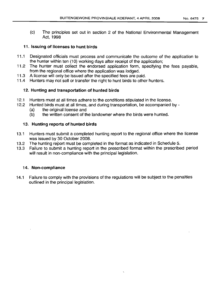(c) The principles set out in section 2 of the National Environmental Management Act, 1998

# **11. Issuing of licenses to hunt birds**

- 11.1 Designated officials must process and communicate the outcome of the application to the hunter within ten (10) working days after receipt of the application;
- 11.2 The hunter must collect the endorsed application form, specifying the fees payable, from the regional office where the application was lodged.
- 11.3 A license will only be issued after the specified fees are paid.
- 11.4 Hunters may not sell or transfer the right to hunt birds to other hunters.

# **12. Hunting and transportation of hunted birds**

- 12.1 Hunters must at all times adhere to the conditions stipulated in the license.
- 12.2 Hunted birds must at all times, and during transportation, be accompanied by
	- (a) the original license and
	- (b) the written consent of the landowner where the birds were hunted.

# **13. Hunting reports of hunted birds**

- 13.1 Hunters must submit a completed hunting report to the regional office where the license was issued by 30 October 2008.
- 13.2 The hunting report must be completed in the format as indicated in Schedule 5.
- 13.3 Failure to submit a hunting report in the prescribed format within the prescribed period will result in non-compliance with the principal legislation.

# **14. Non-compliance**

14.1 Failure to comply with the provisions of the regulations will be subject to the penalties outlined in the principal legislation.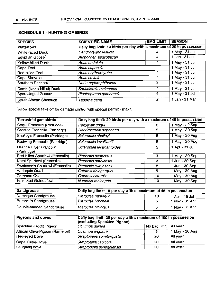# SCHEDULE 1 - HUNTING OF BIRDS

| <b>SPECIES</b>              | <b>SCIENTIFIC NAME</b>  | <b>BAG LIMIT</b>                                                     | <b>SEASON</b>  |  |  |  |  |
|-----------------------------|-------------------------|----------------------------------------------------------------------|----------------|--|--|--|--|
| Waterfowl                   |                         | Daily bag limit: 10 birds per day with a maximum of 20 in possession |                |  |  |  |  |
| White-faced Duck            | Dendrocygna viduata     | 4                                                                    | 1 May - 31 Jul |  |  |  |  |
| Egyptian Goose <sup>*</sup> | Alopochen aegyptiacus   | 4                                                                    | 1 Jan - 31 Jul |  |  |  |  |
| Yellow-billed Duck          | Anas undulata           | 4                                                                    | 1 May - 31 Jul |  |  |  |  |
| Cape Teal                   | Anas capensis           | 4                                                                    | 1 May - 31 Jul |  |  |  |  |
| Red-billed Teal             | Anas erythrorhynha      | 4                                                                    | 1 May - 31 Jul |  |  |  |  |
| Cape Shoveler               | Anas smithii            | 4                                                                    | 1 May - 31 Jul |  |  |  |  |
| Southern Pochard            | Netta erythrophthalma   | 3                                                                    | 1 May - 31 Jul |  |  |  |  |
| Comb (Knob-billed) Duck     | Sarkidiornis melanotos  | 4                                                                    | 1 May - 31 Jul |  |  |  |  |
| Spur-winged Goose*          | Plectropterus gambensis | 4                                                                    | 1 May - 31 Jul |  |  |  |  |
| South African Shelduck      | Tadorna cana            | $\overline{2}$                                                       | 1 Jan - 31 Mar |  |  |  |  |

'Allow special take off for damage control with special permit - max 5

| <b>Terrestrial gamebirds</b>          | Daily bag limit: 20 birds per day with a maximum of 40 in possession |    |                |  |  |  |
|---------------------------------------|----------------------------------------------------------------------|----|----------------|--|--|--|
| Coqui Francolin (Partridge)           | Peliperdix coqui                                                     | 5  | 1 May - 30 Sep |  |  |  |
| Crested Francolin (Partridge)         | Dendroperdix sephaena                                                | 5. | 1 May - 30 Sep |  |  |  |
| Shelley's Francolin (Partridge)       | Scleroptila shelleyi                                                 | 5  | 1 May - 30 Aug |  |  |  |
| Redwing Francolin (Partridge)         | Scleroptila levaillantii                                             | 5  | 1 May - 30 Aug |  |  |  |
| Orange River Francolin<br>(Partridge) | Scleroptila levaillantoides                                          | 5  | 1 Apr - 31 Jul |  |  |  |
| Red-billed Spurfowl (Francolin)       | Pternistis adspersus                                                 | з  | 1 May - 30 Sep |  |  |  |
| Natal Spurfowl (Francolin)            | Pternistis natalensis                                                | 3  | 1 Jun - 30 Sep |  |  |  |
| Swainson's Spurfowl (Francolin)       | Pternistis swainsonii                                                | 5  | 1 Jun - 30 Sep |  |  |  |
| Harlequin Quail                       | Coturnix delegorguei                                                 | 5  | 1 May - 30 Aug |  |  |  |
| Common Quail                          | Coturnix coturnix                                                    | 10 | 1 May - 30 Aug |  |  |  |
| <b>Helmeted Guineafowl</b>            | Numedia meleagris                                                    | 10 | 1 May - 30 Sep |  |  |  |

| Sandgrouse               | Daily bag limit: 15 per day with a maximum of 45 in possession |    |                |  |  |  |
|--------------------------|----------------------------------------------------------------|----|----------------|--|--|--|
| Namaqua Sandgrouse       | Pterocles namaqua                                              | 10 | 1 Apr - 15 Jul |  |  |  |
| Burchell's Sandgrouse    | Pterocles burchelli                                            | 5  | 1 Nov - 31 Apr |  |  |  |
| Double-banded Sandgrouse | Pterocles bicinctus                                            | г, | 1 Nov - 31 Apr |  |  |  |

| <b>Pigeons and doves</b>       | Daily bag limit: 20 per day with a maximum of 100 in possession<br>(excluding Speckled Pigeon) |              |                |  |  |  |  |
|--------------------------------|------------------------------------------------------------------------------------------------|--------------|----------------|--|--|--|--|
| Speckled (Rock) Pigeon         | Columba guinea                                                                                 | No bag limit | All year       |  |  |  |  |
| African Olive-Pigeon (Rameron) | Columba arquatrix                                                                              | 5            | 1 May - 30 Aug |  |  |  |  |
| Red-eyed Dove                  | Streptopelia semitorquata                                                                      | 20           | All year       |  |  |  |  |
| Cape Turtle-Dove               | Streptotelia capicola                                                                          | 20           | All year       |  |  |  |  |
| Laughing dove                  | Streptopelia senegalensis                                                                      | 20           | All year       |  |  |  |  |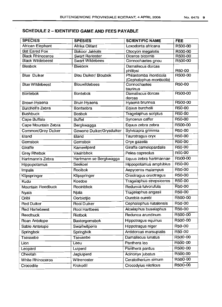# **SCHEDULE 2 -IDENTIFIED GAME AND FEES PAYABLE**

| <b>SPECIES</b>            | <b>SPESIES</b>              | <b>SCIENTIFIC NAME</b>                           | <b>FEE</b> |
|---------------------------|-----------------------------|--------------------------------------------------|------------|
| African Elephant          | Afrika Olifant              | Loxodonta africana                               | R500-00    |
| <b>Bat Eared Fox</b>      | <b>Bakoor Jakkals</b>       | Otocyon megalotis                                | R500-00    |
| <b>Black Rhinoceros</b>   | <b>Swart Renoster</b>       | Diceros bicornis                                 | R500-00    |
| <b>Black Wildebeest</b>   | <b>Swart Wildebees</b>      | Connochaetes gnou                                | R500-00    |
| <b>Blesbok</b>            | <b>Blesbok</b>              | Damaliscus dorcas<br>phillipsi                   | R50-00     |
| <b>Blue Duiker</b>        | <b>Blou Duiker/ Bloubok</b> | Philantomba monticola<br>(Cephalophus monticola) | R500-00    |
| <b>Blue Wildebeest</b>    | <b>Blouwildebees</b>        | Connochaetes<br>taurinus                         | R50-00     |
| <b>Bontebok</b>           | <b>Bontebok</b>             | Damaliscus dorcas<br>dorcas                      | R500-00    |
| Brown Hyaena              | Bruin Hyaena                | Hyaena brunnea                                   | R500-00    |
| <b>Burchell's Zebra</b>   | <b>Bontsebra</b>            | Equus burchelli                                  | R50-00     |
| <b>Bushbuck</b>           | <b>Bosbok</b>               | Tragelaphus scriptus                             | R50-00     |
| Cape Buffalo              | <b>Buffel</b>               | Syncerus caffer                                  | R50-00     |
| Cape Mountain Zebra       | Bergkwagga                  | Equus zebra zebra                                | R500-00    |
| <b>Common/Grey Duiker</b> | Gewone Duiker/Grysduiker    | Sylvicapra grimmia                               | R50-00     |
| $E$ land                  | Eland                       | Taurotragus oryx                                 | R50-00     |
| Gemsbok                   | Gemsbok                     | Oryx gazella                                     | R50-00     |
| Giraffe                   | Kameelperd                  | Giraffa camelopardalis                           | R50-00     |
| <b>Grey Rhebok</b>        | Vaalribbok                  | Pelea capreolus                                  | R50-00     |
| Hartmann's Zebra          | Hartmann se Bergkwagga      | Equus zebra hartmannae                           | R500-00    |
| Hippopotamus              | Seekoei                     | Hippopotamus amphibius                           | R50-00     |
| Impala                    | Rooibok                     | Aepyceros malampus                               | R50-00     |
| Klipspringer              | Klipspringer                | Oreotragus oreotragus                            | R50-00     |
| Kudu                      | Koedoe                      | Tragelaphus strepsiceros                         | R50-00     |
| <b>Mountain Reedbuck</b>  | Rooiribbok                  | Redunca fulvorufula                              | R50-00     |
| Nyala                     | Njala                       | Tragelaphus angasii                              | R50-00     |
| Oribi                     | Oorbietjie                  | Ourebia ourebi                                   | R500-00    |
| <b>Red Duiker</b>         | <b>Rooi Duiker</b>          | Cephalophus natalensis                           | R50-00     |
| <b>Red Hartebeest</b>     | Rooi Hartbees               | Alcelaphus buselaphus                            | R50-00     |
| Reedbuck                  | Rietbok                     | Redunca arundinum                                | R500-00    |
| Roan Antelope             | Bastergemsbok               | Hippotragus equinus                              | R500-00    |
| Sable Antelope            | Swartwitpens                | Hippotragus niger                                | R50-00     |
| Springbok                 | Springbok                   | Antidorcas marsupialis                           | R50-00     |
| Tsessebe                  | Tsessebe                    | Damaliscus lunatus                               | R500-00    |
| Lion                      | Leeu                        | Panthera leo                                     | R500-00    |
| Leopard                   | Luiperd                     | Panthera pardus                                  | R500-00    |
| Cheetah                   | Jagluiperd                  | Acinonyx jubatus                                 | R500.00    |
| <b>White Rhinoceros</b>   | Witrenoster                 | Ceratotherium simum                              | R500-00    |
| Crocodile                 | Krokodil                    | Crocodylus niloticus                             | R500-00    |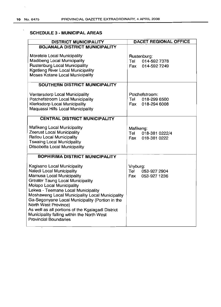and the state of

 $\cdot$ 

# **SCHEDULE 3 - MUNICIPAL AREAS**

| <b>DISTRICT MUNICIPALITY</b>                                                                                                                                                                                                                                                                                                                                                                                                                                         | <b>DACET REGIONAL OFFICE</b>                                 |
|----------------------------------------------------------------------------------------------------------------------------------------------------------------------------------------------------------------------------------------------------------------------------------------------------------------------------------------------------------------------------------------------------------------------------------------------------------------------|--------------------------------------------------------------|
| <b>BOJANALA DISTRICT MUNICIPALITY</b>                                                                                                                                                                                                                                                                                                                                                                                                                                |                                                              |
| Moretele Local Municipality<br>Madibeng Local Municipality<br>Rustenburg Local Municipality<br><b>Kgetleng River Local Municipality</b><br>Moses Kotane Local Municipality                                                                                                                                                                                                                                                                                           | Rustenburg:<br>Tel<br>014-592 7378<br>Fax<br>014-592 7249    |
| SOUTHERN DISTRICT MUNICIPALITY                                                                                                                                                                                                                                                                                                                                                                                                                                       |                                                              |
| Ventersdorp Local Municipality<br>Potchefstroom Local Municipality<br>Klerksdorp Local Municipality<br>Maquassi Hills Local Municipality                                                                                                                                                                                                                                                                                                                             | Potchefstroom:<br>Tel<br>018-299 6500<br>Fax<br>018-294 6008 |
| <b>CENTRAL DISTRICT MUNICIPALITY</b>                                                                                                                                                                                                                                                                                                                                                                                                                                 |                                                              |
| Mafikeng Local Municipality<br>Zeerust Local Municipality<br>Ratlou Local Municipality<br><b>Tswaing Local Municipality</b><br>Ditsobotla Local Municipality                                                                                                                                                                                                                                                                                                         | Mafikeng:<br>Tel 018-381 0222/4<br>Fax 018-381 0222          |
| <b>BOPHIRIMA DISTRICT MUNICIPALITY</b>                                                                                                                                                                                                                                                                                                                                                                                                                               |                                                              |
| Kagisano Local Municipality<br>Naledi Local Municipality<br>Mamusa Local Municipality<br><b>Greater Taung Local Municipality</b><br>Molopo Local Municipality<br>Lekwa - Teemane Local Municipality<br>Moshaweng Local Municipality Local Municipality<br>Ga-Segonyane Local Municipality (Portion in the<br>North West Province)<br>As well as all portions of the Kgalagadi District<br>Municipality falling within the North West<br><b>Provincial Boundaries</b> | Vryburg:<br>053-927 2904<br>Tel<br>Fax<br>053-927 1236       |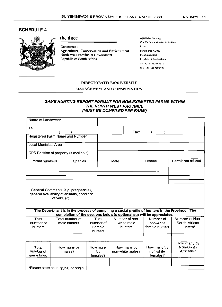#### SCHEDULE 4



#### the dace

Department: Agriculture, Conservation and Environment North West Provincial Government Republic of South Africa

Agricentre Building Cnr: Dr James Morake & Stadium Road Private Bag X 2039 Mmabatho, 2735 Republic of South Africa Tel: +27 (18) 389 5111 Fax: +27 (18) 389 5640

#### DIRECTORATE: BIODIVERSITY

#### MANAGEMENT AND CONSERVATION

#### GAME HUNTING REPORT FORMAT FOR NON-EXEMPTED FARMS WITHIN THE NORTH WEST PROVINCE (MUST BE COMPILED PER FARM)

| Name of Landowner                    |               |                                                                                                                                                                         |                   |                  |      |             |                |                     |  |
|--------------------------------------|---------------|-------------------------------------------------------------------------------------------------------------------------------------------------------------------------|-------------------|------------------|------|-------------|----------------|---------------------|--|
| Tel:                                 |               |                                                                                                                                                                         |                   |                  |      |             |                |                     |  |
|                                      |               |                                                                                                                                                                         |                   |                  | Fax: |             |                |                     |  |
|                                      |               | Registered Farm Name and Number                                                                                                                                         |                   |                  |      |             |                |                     |  |
| Local Municipal Area                 |               |                                                                                                                                                                         |                   |                  |      |             |                |                     |  |
|                                      |               | GPS Position of property (if available)                                                                                                                                 |                   |                  |      |             |                |                     |  |
| Permit numbers                       |               | Species                                                                                                                                                                 |                   | Male             |      | Female      |                | Permit not utilized |  |
|                                      |               |                                                                                                                                                                         |                   |                  |      |             |                |                     |  |
|                                      |               |                                                                                                                                                                         |                   |                  |      |             |                |                     |  |
|                                      |               |                                                                                                                                                                         |                   |                  |      |             |                |                     |  |
|                                      |               |                                                                                                                                                                         |                   |                  |      |             |                |                     |  |
|                                      |               | General Comments (e.g. pregnancies,<br>general availability of animals, condition                                                                                       |                   |                  |      |             |                |                     |  |
|                                      | of veid, etc) |                                                                                                                                                                         |                   |                  |      |             |                |                     |  |
|                                      |               |                                                                                                                                                                         |                   |                  |      |             |                |                     |  |
|                                      |               | The Department is in the process of compiling a social profile of hunters in the Province. The<br>completion of the sections below is optional but will be appreciated. |                   |                  |      |             |                |                     |  |
| Total                                |               | Total number of                                                                                                                                                         | Total             | Number of non-   |      | Number of   |                | Number of Non-      |  |
| number of                            |               | male hunters                                                                                                                                                            | number of         | white male       |      | non-white   |                | South African       |  |
| hunters                              |               |                                                                                                                                                                         | Female<br>hunters | hunters          |      |             | female hunters | Hunters*            |  |
|                                      |               |                                                                                                                                                                         |                   |                  |      |             |                |                     |  |
|                                      |               |                                                                                                                                                                         |                   |                  |      |             |                | How many by         |  |
| Total                                |               | How many by                                                                                                                                                             | How many          | How many by      |      | How many by |                | Non-South           |  |
| number of                            |               | males?                                                                                                                                                                  | by                | non-white males? |      | non-white   |                | Africans?           |  |
| game killed                          |               |                                                                                                                                                                         | females?          |                  |      | females?    |                |                     |  |
|                                      |               |                                                                                                                                                                         |                   |                  |      |             |                |                     |  |
| *Please state country(ies) of origin |               |                                                                                                                                                                         |                   |                  |      |             |                |                     |  |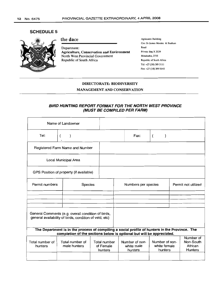# SCHEDULE 5



# the dace

Department: Agriculture, Conservation and Environment North West Provincial Government Republic of South Africa

Agricentre Building Cnr- Dr James Morake & Stadium Road Private Bag X 2039 Mmabatho, 2735 Republic of South Africa Tel: +27 (18) 389 5111 Fax: +27 (l8) 389 5640

#### DIRECTORATE: BIODIVERSITY

MANAGEMENT AND CONSERVATION

#### BIRD HUNTING REPORT FORMAT FOR THE NORTH WEST PROVINCE (MUST BE COMPILED PER FARM)

|                                         | Name of Landowner                                                                                                                                                       |                                      |                                                                                      |      |                  |                                                     |  |
|-----------------------------------------|-------------------------------------------------------------------------------------------------------------------------------------------------------------------------|--------------------------------------|--------------------------------------------------------------------------------------|------|------------------|-----------------------------------------------------|--|
| Tel:                                    | (                                                                                                                                                                       |                                      |                                                                                      | Fax: | $\overline{(\ }$ |                                                     |  |
| Registered Farm Name and Number         |                                                                                                                                                                         |                                      |                                                                                      |      |                  |                                                     |  |
| Local Municipal Area                    |                                                                                                                                                                         |                                      |                                                                                      |      |                  |                                                     |  |
| GPS Position of property (if available) |                                                                                                                                                                         |                                      |                                                                                      |      |                  |                                                     |  |
| Permit numbers                          | Species                                                                                                                                                                 | Numbers per species                  |                                                                                      |      |                  | Permit not utilized                                 |  |
|                                         |                                                                                                                                                                         |                                      |                                                                                      |      |                  |                                                     |  |
|                                         |                                                                                                                                                                         |                                      |                                                                                      |      |                  |                                                     |  |
|                                         | General Comments (e.g. overall condition of birds,<br>general availability of birds, condition of veld, etc)                                                            |                                      |                                                                                      |      |                  |                                                     |  |
|                                         | The Department is in the process of compiling a social profile of hunters in the Province. The<br>completion of the sections below is optional but will be appreciated. |                                      |                                                                                      |      |                  |                                                     |  |
| Total number of<br>hunters              | Total number of<br>male hunters                                                                                                                                         | Total number<br>of Female<br>hunters | Number of non-<br>Number of non-<br>white female<br>white male<br>hunters<br>hunters |      |                  | Number of<br>Non-South<br>African<br><b>Hunters</b> |  |
|                                         |                                                                                                                                                                         |                                      |                                                                                      |      |                  |                                                     |  |